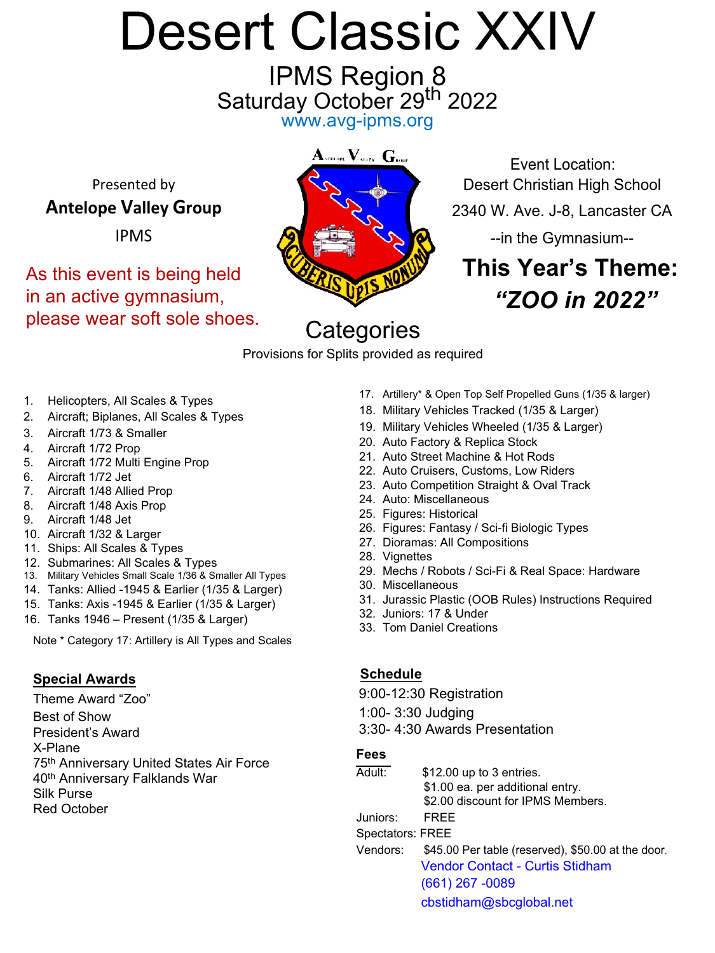# Desert Classic XXIV

IPMS Region 8 Saturday October 29<sup>th</sup> 2022 www.avg-ipms.org



Event Location: Presented by **Desert Christian High School Antelope Valley Group** 2340 W. Ave. J-8, Lancaster CA

# **This Year's Theme:** *"ZOO in 2022"*

## **Categories**

Provisions for Splits provided as required

- 1. Helicopters, All Scales & Types
- 2. Aircraft; Biplanes, All Scales & Types
- 3. Aircraft 1/73 & Smaller
- 4. Aircraft 1/72 Prop
- 5. Aircraft 1/72 Multi Engine Prop
- 6. Aircraft 1/72 Jet
- 7. Aircraft 1/48 Allied Prop
- 8. Aircraft 1/48 Axis Prop
- 9. Aircraft 1/48 Jet
- 10. Aircraft 1/32 & Larger
- 11. Ships: All Scales & Types
- 12. Submarines: All Scales & Types
- 13. Military Vehicles Small Scale 1/36 & Smaller All Types
- 14. Tanks: Allied -1945 & Earlier (1/35 & Larger)
- 15. Tanks: Axis -1945 & Earlier (1/35 & Larger)
- 16. Tanks 1946 Present (1/35 & Larger)

Note \* Category 17: Artillery is All Types and Scales

#### **Special Awards**

Theme Award "Zoo" Best of Show President's Award X-Plane 75th Anniversary United States Air Force 40<sup>th</sup> Anniversary Falklands War Silk Purse Red October

- 17. Artillery\* & Open Top Self Propelled Guns (1/35 & larger)
- 18. Military Vehicles Tracked (1/35 & Larger)
- 19. Military Vehicles Wheeled (1/35 & Larger)
- 20. Auto Factory & Replica Stock
- 21. Auto Street Machine & Hot Rods
- 22. Auto Cruisers, Customs, Low Riders
- 23. Auto Competition Straight & Oval Track
- 24. Auto: Miscellaneous
- 25. Figures: Historical
- 26. Figures: Fantasy / Sci-fi Biologic Types
- 27. Dioramas: All Compositions
- 28. Vignettes
- 29. Mechs / Robots / Sci-Fi & Real Space: Hardware
- 30. Miscellaneous
- 31. Jurassic Plastic (OOB Rules) Instructions Required
- 32. Juniors: 17 & Under
- 33. Tom Daniel Creations

#### **Schedule**

9:00-12:30 Registration

1:00- 3:30 Judging

3:30- 4:30 Awards Presentation

#### **Fees**

Adult: \$12.00 up to 3 entries. \$1.00 ea. per additional entry. \$2.00 discount for IPMS Members. Juniors: FREE Spectators: FREE

Vendors: \$45.00 Per table (reserved), \$50.00 at the door. Vendor Contact - Curtis Stidham (661) 267 -0089 cbstidham@sbcglobal.net